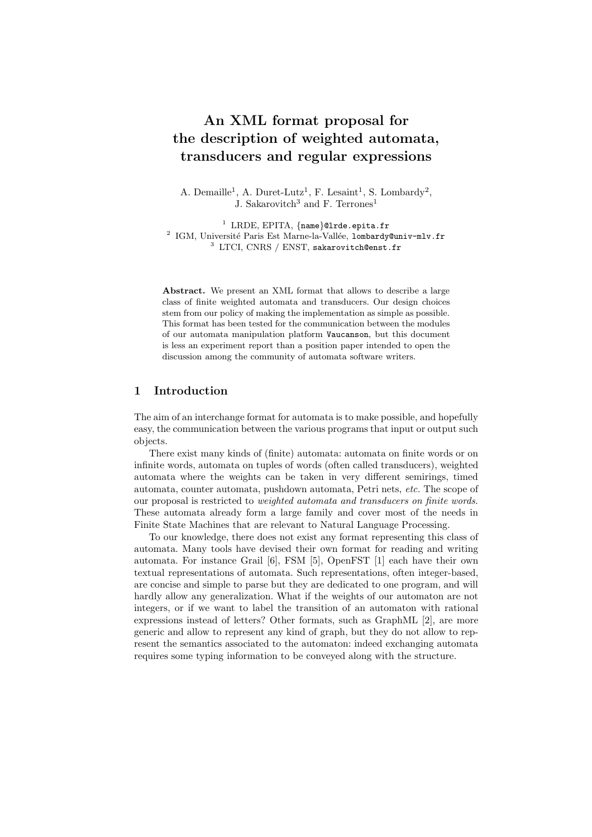# **An XML format proposal for the description of weighted automata, transducers and regular expressions**

A. Demaille<sup>1</sup>, A. Duret-Lutz<sup>1</sup>, F. Lesaint<sup>1</sup>, S. Lombardy<sup>2</sup>, J. Sakarovitch<sup>3</sup> and F. Terrones<sup>1</sup>

<sup>1</sup> LRDE, EPITA,  ${name}$ 01rde.epita.fr<br><sup>2</sup> IGM, Université Paris Est Marne-la-Vallée, lombardy@univ-mlv.fr <sup>3</sup> LTCI, CNRS / ENST, sakarovitch@enst.fr

Abstract. We present an XML format that allows to describe a large class of finite weighted automata and transducers. Our design choices stem from our policy of making the implementation as simple as possible. This format has been tested for the communication between the modules of our automata manipulation platform Vaucanson, but this document is less an experiment report than a position paper intended to open the discussion among the community of automata software writers.

# **1 Introduction**

The aim of an interchange format for automata is to make possible, and hopefully easy, the communication between the various programs that input or output such objects.

There exist many kinds of (finite) automata: automata on finite words or on infinite words, automata on tuples of words (often called transducers), weighted automata where the weights can be taken in very different semirings, timed automata, counter automata, pushdown automata, Petri nets, *etc.* The scope of our proposal is restricted to *weighted automata and transducers on finite words*. These automata already form a large family and cover most of the needs in Finite State Machines that are relevant to Natural Language Processing.

To our knowledge, there does not exist any format representing this class of automata. Many tools have devised their own format for reading and writing automata. For instance Grail [6], FSM [5], OpenFST [1] each have their own textual representations of automata. Such representations, often integer-based, are concise and simple to parse but they are dedicated to one program, and will hardly allow any generalization. What if the weights of our automaton are not integers, or if we want to label the transition of an automaton with rational expressions instead of letters? Other formats, such as GraphML [2], are more generic and allow to represent any kind of graph, but they do not allow to represent the semantics associated to the automaton: indeed exchanging automata requires some typing information to be conveyed along with the structure.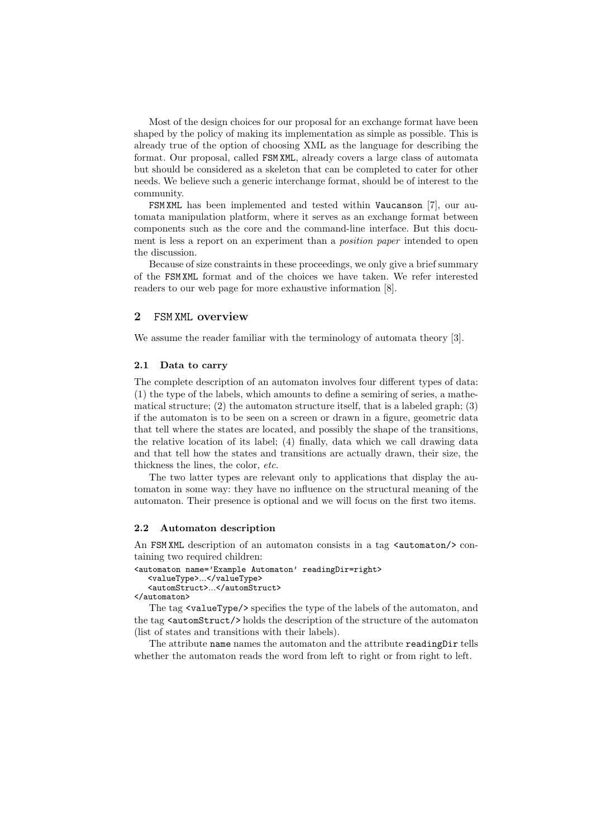Most of the design choices for our proposal for an exchange format have been shaped by the policy of making its implementation as simple as possible. This is already true of the option of choosing XML as the language for describing the format. Our proposal, called FSM XML, already covers a large class of automata but should be considered as a skeleton that can be completed to cater for other needs. We believe such a generic interchange format, should be of interest to the community.

FSM XML has been implemented and tested within Vaucanson [7], our automata manipulation platform, where it serves as an exchange format between components such as the core and the command-line interface. But this document is less a report on an experiment than a *position paper* intended to open the discussion.

Because of size constraints in these proceedings, we only give a brief summary of the FSM XML format and of the choices we have taken. We refer interested readers to our web page for more exhaustive information [8].

# **2** FSM XML **overview**

We assume the reader familiar with the terminology of automata theory [3].

# **2.1 Data to carry**

The complete description of an automaton involves four different types of data: (1) the type of the labels, which amounts to define a semiring of series, a mathematical structure; (2) the automaton structure itself, that is a labeled graph; (3) if the automaton is to be seen on a screen or drawn in a figure, geometric data that tell where the states are located, and possibly the shape of the transitions, the relative location of its label; (4) finally, data which we call drawing data and that tell how the states and transitions are actually drawn, their size, the thickness the lines, the color, *etc.*

The two latter types are relevant only to applications that display the automaton in some way: they have no influence on the structural meaning of the automaton. Their presence is optional and we will focus on the first two items.

### **2.2 Automaton description**

An FSM XML description of an automaton consists in a tag  $\alpha$   $\alpha$   $\alpha$   $\beta$   $\alpha$ taining two required children:

<automaton name='Example Automaton' readingDir=right> <valueType>...</valueType> <automStruct>...</automStruct>

</automaton>

The tag <valueType/> specifies the type of the labels of the automaton, and the tag <automStruct/> holds the description of the structure of the automaton (list of states and transitions with their labels).

The attribute name names the automaton and the attribute readingDir tells whether the automaton reads the word from left to right or from right to left.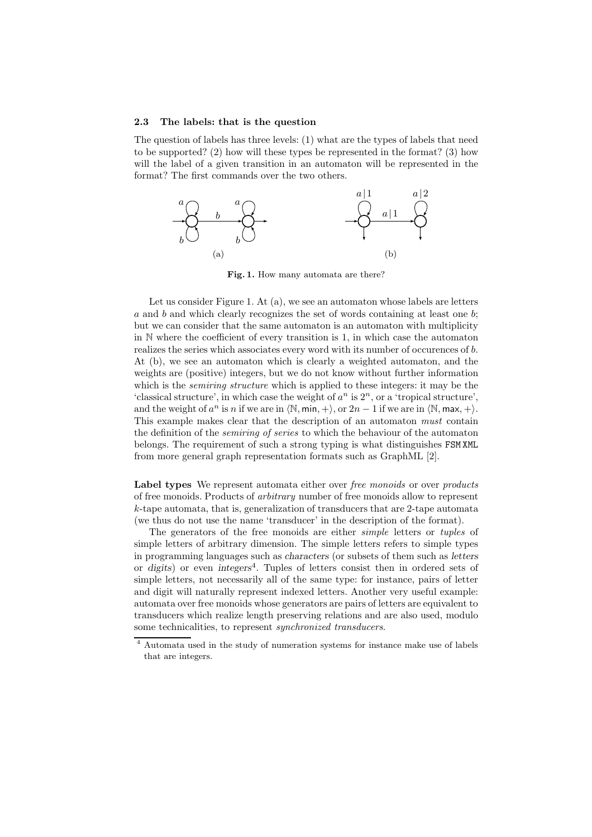#### **2.3 The labels: that is the question**

The question of labels has three levels: (1) what are the types of labels that need to be supported? (2) how will these types be represented in the format? (3) how will the label of a given transition in an automaton will be represented in the format? The first commands over the two others.



**Fig. 1.** How many automata are there?

Let us consider Figure 1. At (a), we see an automaton whose labels are letters *a* and *b* and which clearly recognizes the set of words containing at least one *b*; but we can consider that the same automaton is an automaton with multiplicity in N where the coefficient of every transition is 1, in which case the automaton realizes the series which associates every word with its number of occurences of *b*. At (b), we see an automaton which is clearly a weighted automaton, and the weights are (positive) integers, but we do not know without further information which is the *semiring structure* which is applied to these integers: it may be the 'classical structure', in which case the weight of  $a^n$  is  $2^n$ , or a 'tropical structure', and the weight of  $a^n$  is *n* if we are in  $\langle \mathbb{N}, \min, + \rangle$ , or  $2n - 1$  if we are in  $\langle \mathbb{N}, \max, + \rangle$ . This example makes clear that the description of an automaton *must* contain the definition of the *semiring of series* to which the behaviour of the automaton belongs. The requirement of such a strong typing is what distinguishes FSM XML from more general graph representation formats such as GraphML [2].

**Label types** We represent automata either over *free monoids* or over *products* of free monoids. Products of *arbitrary* number of free monoids allow to represent *k*-tape automata, that is, generalization of transducers that are 2-tape automata (we thus do not use the name 'transducer' in the description of the format).

The generators of the free monoids are either *simple* letters or *tuples* of simple letters of arbitrary dimension. The simple letters refers to simple types in programming languages such as *characters* (or subsets of them such as *letters* or *digits*) or even *integers*<sup>4</sup>. Tuples of letters consist then in ordered sets of simple letters, not necessarily all of the same type: for instance, pairs of letter and digit will naturally represent indexed letters. Another very useful example: automata over free monoids whose generators are pairs of letters are equivalent to transducers which realize length preserving relations and are also used, modulo some technicalities, to represent *synchronized transducers*.

<sup>4</sup> Automata used in the study of numeration systems for instance make use of labels that are integers.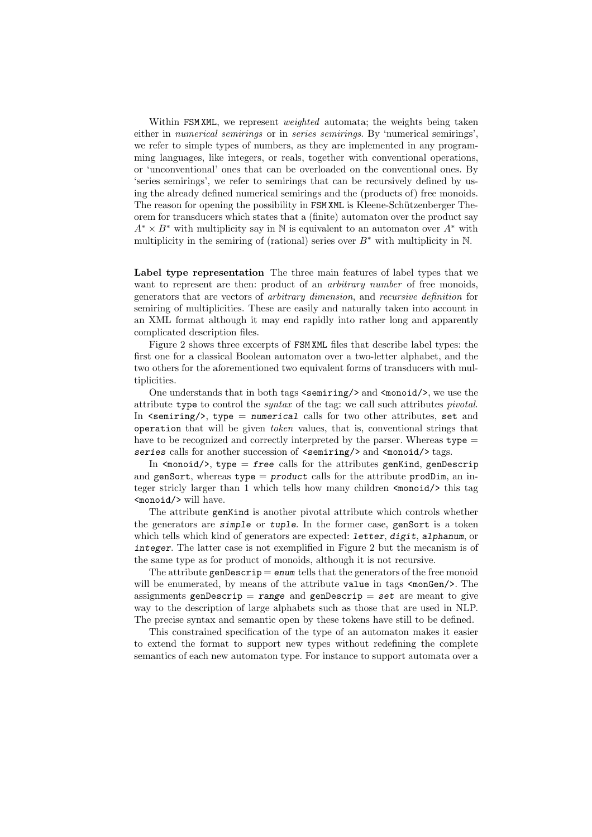Within FSM XML, we represent *weighted* automata; the weights being taken either in *numerical semirings* or in *series semirings*. By 'numerical semirings', we refer to simple types of numbers, as they are implemented in any programming languages, like integers, or reals, together with conventional operations, or 'unconventional' ones that can be overloaded on the conventional ones. By 'series semirings', we refer to semirings that can be recursively defined by using the already defined numerical semirings and the (products of) free monoids. The reason for opening the possibility in FSM XML is Kleene-Schützenberger Theorem for transducers which states that a (finite) automaton over the product say  $A^* \times B^*$  with multiplicity say in N is equivalent to an automaton over  $A^*$  with multiplicity in the semiring of (rational) series over  $B^*$  with multiplicity in N.

**Label type representation** The three main features of label types that we want to represent are then: product of an *arbitrary number* of free monoids, generators that are vectors of *arbitrary dimension*, and *recursive definition* for semiring of multiplicities. These are easily and naturally taken into account in an XML format although it may end rapidly into rather long and apparently complicated description files.

Figure 2 shows three excerpts of FSM XML files that describe label types: the first one for a classical Boolean automaton over a two-letter alphabet, and the two others for the aforementioned two equivalent forms of transducers with multiplicities.

One understands that in both tags  $\langle$  semiring/ $\rangle$  and  $\langle$  monoid/ $\rangle$ , we use the attribute type to control the *syntax* of the tag: we call such attributes *pivotal*. In <semiring/>, type = *numerical* calls for two other attributes, set and operation that will be given *token* values, that is, conventional strings that have to be recognized and correctly interpreted by the parser. Whereas  $type =$ series calls for another succession of  $\leq$  semiring/> and  $\leq$  monoid/> tags.

In  $\langle$ monoid $\rangle$ , type = *free* calls for the attributes genKind, genDescrip and genSort, whereas type = *product* calls for the attribute prodDim, an integer stricly larger than 1 which tells how many children  $\langle \text{monoid}\rangle$  this tag <monoid/> will have.

The attribute genKind is another pivotal attribute which controls whether the generators are *simple* or *tuple*. In the former case, genSort is a token which tells which kind of generators are expected: *letter*, *digit*, *alphanum*, or *integer*. The latter case is not exemplified in Figure 2 but the mecanism is of the same type as for product of monoids, although it is not recursive.

The attribute genDescrip = *enum* tells that the generators of the free monoid will be enumerated, by means of the attribute value in tags <monGen/>. The assignments genDescrip = *range* and genDescrip = *set* are meant to give way to the description of large alphabets such as those that are used in NLP. The precise syntax and semantic open by these tokens have still to be defined.

This constrained specification of the type of an automaton makes it easier to extend the format to support new types without redefining the complete semantics of each new automaton type. For instance to support automata over a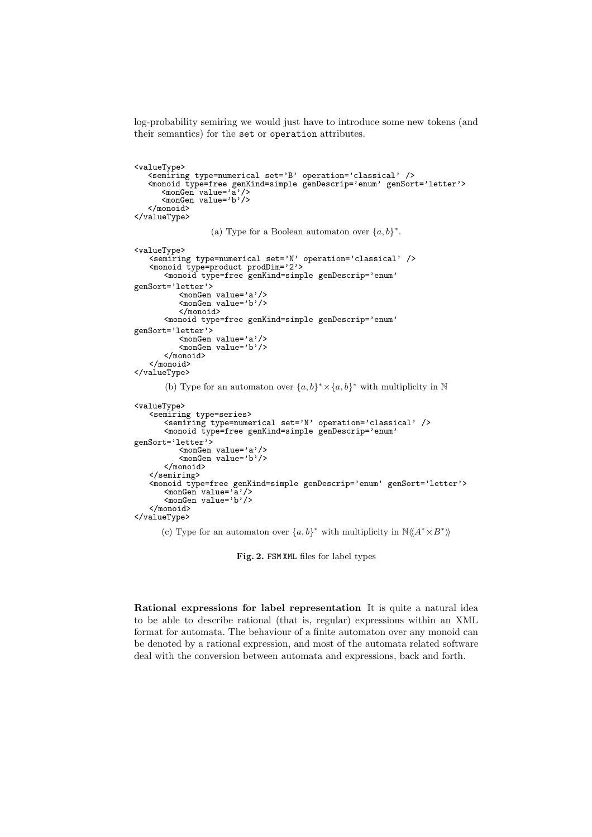log-probability semiring we would just have to introduce some new tokens (and their semantics) for the set or operation attributes.

```
<valueType>
   <semiring type=numerical set='B' operation='classical' />
   <monoid type=free genKind=simple genDescrip='enum' genSort='letter'> <monGen value='a'/>
      <monGen value='b'/>
   </monoid>
</valueType>
                 (a) Type for a Boolean automaton over \{a, b\}^*.
<valueType>
   <semiring type=numerical set='N' operation='classical' />
   <monoid type=product prodDim='2'>
       <monoid type=free genKind=simple genDescrip='enum'
genSort='letter'>
          <monGen value='a'/>
          <monGen value='b'/>
          </monoid>
       <monoid type=free genKind=simple genDescrip='enum'
genSort='letter'>
          <monGen value='a'/>
          <monGen value='b'/>
      </monoid>
   </monoid>
</valueType>
       (b) Type for an automaton over {a, b}^* \times {a, b}^* with multiplicity in N
<valueType>
   <semiring type=series>
       <semiring type=numerical set='N' operation='classical' />
       <monoid type=free genKind=simple genDescrip='enum'
genSort='letter'>
          <monGen value='a'/>
          <monGen value='b'/>
       </monoid>
   </semiring>
   <monoid type=free genKind=simple genDescrip='enum' genSort='letter'>
       <monGen value='a'/>
       <monGen value='b'/>
   </monoid>
</valueType>
```
(c) Type for an automaton over  $\{a,b\}^*$  with multiplicity in  $\mathbb{N}\langle\!\langle A^* \times B^*\rangle\!\rangle$ 

**Fig. 2.** FSM XML files for label types

**Rational expressions for label representation** It is quite a natural idea to be able to describe rational (that is, regular) expressions within an XML format for automata. The behaviour of a finite automaton over any monoid can be denoted by a rational expression, and most of the automata related software deal with the conversion between automata and expressions, back and forth.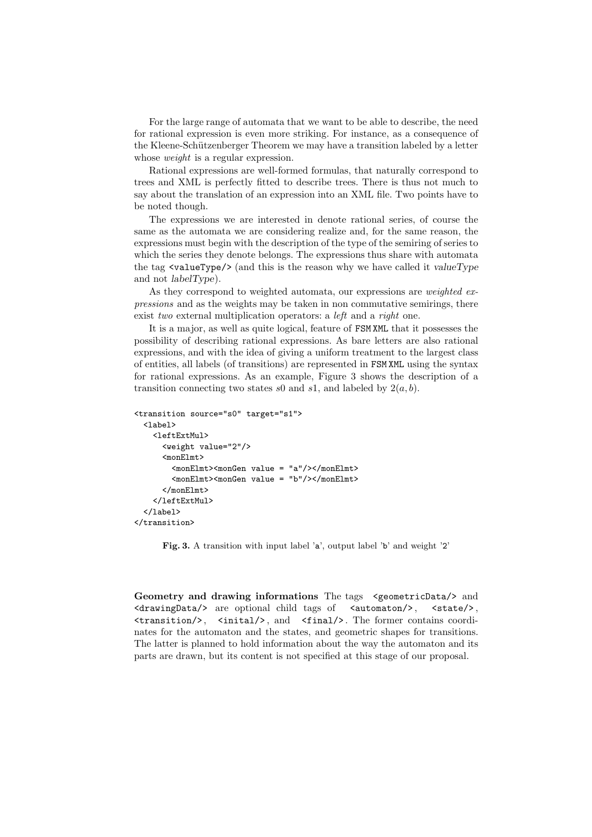For the large range of automata that we want to be able to describe, the need for rational expression is even more striking. For instance, as a consequence of the Kleene-Schützenberger Theorem we may have a transition labeled by a letter whose *weight* is a regular expression.

Rational expressions are well-formed formulas, that naturally correspond to trees and XML is perfectly fitted to describe trees. There is thus not much to say about the translation of an expression into an XML file. Two points have to be noted though.

The expressions we are interested in denote rational series, of course the same as the automata we are considering realize and, for the same reason, the expressions must begin with the description of the type of the semiring of series to which the series they denote belongs. The expressions thus share with automata the tag <valueType/> (and this is the reason why we have called it *valueType* and not *labelType*).

As they correspond to weighted automata, our expressions are *weighted expressions* and as the weights may be taken in non commutative semirings, there exist *two* external multiplication operators: a *left* and a *right* one.

It is a major, as well as quite logical, feature of FSM XML that it possesses the possibility of describing rational expressions. As bare letters are also rational expressions, and with the idea of giving a uniform treatment to the largest class of entities, all labels (of transitions) are represented in FSM XML using the syntax for rational expressions. As an example, Figure 3 shows the description of a transition connecting two states  $s0$  and  $s1$ , and labeled by  $2(a, b)$ .

```
<transition source="s0" target="s1">
  \langlelabel\rangle<leftExtMul>
      <weight value="2"/>
      <monElmt>
        <monElmt><monGen value = "a"/></monElmt>
        <monElmt><monGen value = "b"/></monElmt>
      </monFlmt></leftExtMul>
  \langle/label>
</transition>
```
Fig. 3. A transition with input label 'a', output label 'b' and weight '2'

**Geometry and drawing informations** The tags <geometricData/> and <drawingData/> are optional child tags of <automaton/>, <state/>, <transition/> , <inital/> , and <final/> . The former contains coordinates for the automaton and the states, and geometric shapes for transitions. The latter is planned to hold information about the way the automaton and its parts are drawn, but its content is not specified at this stage of our proposal.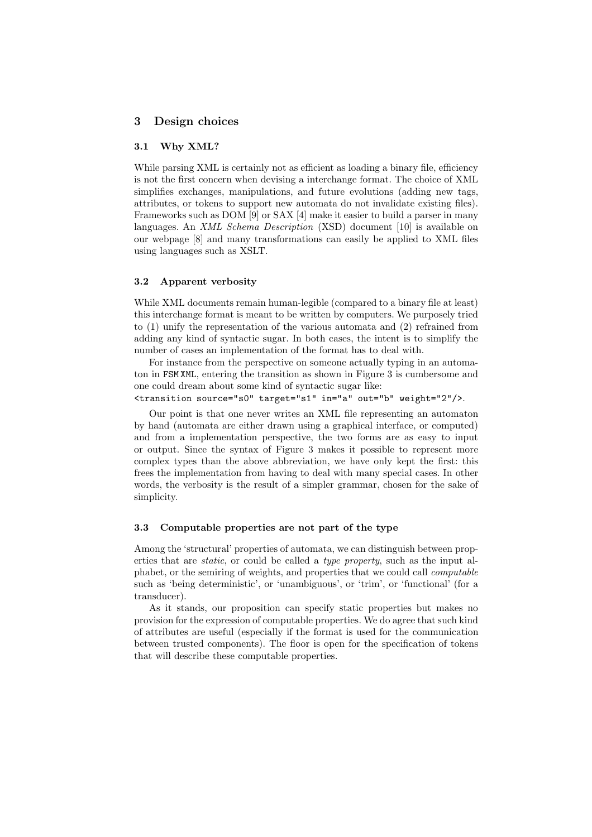# **3 Design choices**

# **3.1 Why XML?**

While parsing XML is certainly not as efficient as loading a binary file, efficiency is not the first concern when devising a interchange format. The choice of XML simplifies exchanges, manipulations, and future evolutions (adding new tags, attributes, or tokens to support new automata do not invalidate existing files). Frameworks such as DOM [9] or SAX [4] make it easier to build a parser in many languages. An *XML Schema Description* (XSD) document [10] is available on our webpage [8] and many transformations can easily be applied to XML files using languages such as XSLT.

### **3.2 Apparent verbosity**

While XML documents remain human-legible (compared to a binary file at least) this interchange format is meant to be written by computers. We purposely tried to (1) unify the representation of the various automata and (2) refrained from adding any kind of syntactic sugar. In both cases, the intent is to simplify the number of cases an implementation of the format has to deal with.

For instance from the perspective on someone actually typing in an automaton in FSM XML, entering the transition as shown in Figure 3 is cumbersome and one could dream about some kind of syntactic sugar like:

<transition source="s0" target="s1" in="a" out="b" weight="2"/>.

Our point is that one never writes an XML file representing an automaton by hand (automata are either drawn using a graphical interface, or computed) and from a implementation perspective, the two forms are as easy to input or output. Since the syntax of Figure 3 makes it possible to represent more complex types than the above abbreviation, we have only kept the first: this frees the implementation from having to deal with many special cases. In other words, the verbosity is the result of a simpler grammar, chosen for the sake of simplicity.

# **3.3 Computable properties are not part of the type**

Among the 'structural' properties of automata, we can distinguish between properties that are *static*, or could be called a *type property*, such as the input alphabet, or the semiring of weights, and properties that we could call *computable* such as 'being deterministic', or 'unambiguous', or 'trim', or 'functional' (for a transducer).

As it stands, our proposition can specify static properties but makes no provision for the expression of computable properties. We do agree that such kind of attributes are useful (especially if the format is used for the communication between trusted components). The floor is open for the specification of tokens that will describe these computable properties.